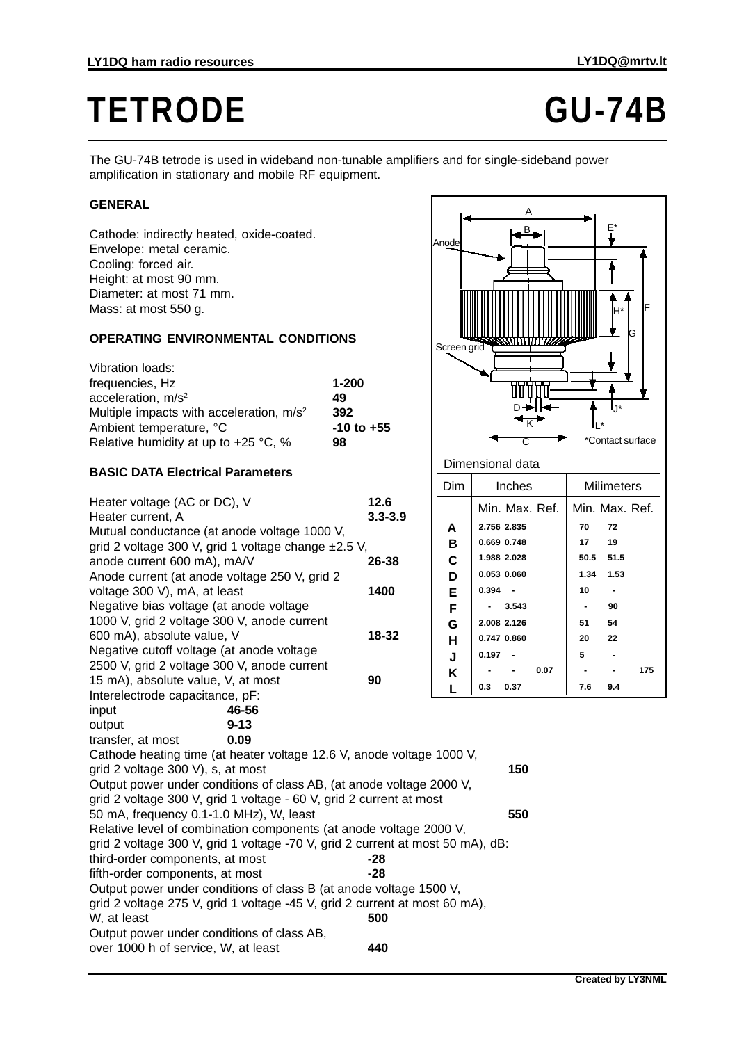# TETRODE **GU-74B**

H\*

L\*

\*Contact surface

D—>II<del>-1 |</del> I<sub>J\*</sub>

K

G

F

The GU-74B tetrode is used in wideband non-tunable amplifiers and for single-sideband power amplification in stationary and mobile RF equipment.

# **GENERAL**

Cathode: indirectly heated, oxide-coated. Envelope: metal ceramic. Cooling: forced air. Height: at most 90 mm. Diameter: at most 71 mm. Mass: at most 550 g.

### **OPERATING ENVIRONMENTAL CONDITIONS**

| Vibration loads:                                     |                |
|------------------------------------------------------|----------------|
| frequencies, Hz                                      | $1 - 200$      |
| acceleration, $m/s2$                                 | 49             |
| Multiple impacts with acceleration, m/s <sup>2</sup> | 392            |
| Ambient temperature, °C                              | $-10$ to $+55$ |
| Relative humidity at up to $+25$ °C, %               | 98             |

## **BASIC DATA Electrical Parameters**

| $P_{\text{H}}$                                                                                   |             | Dim         | Inches         |      |                | Milimeters     |     |
|--------------------------------------------------------------------------------------------------|-------------|-------------|----------------|------|----------------|----------------|-----|
| Heater voltage (AC or DC), V                                                                     | 12.6        |             | Min. Max. Ref. |      |                | Min. Max. Ref. |     |
| Heater current, A                                                                                | $3.3 - 3.9$ | A           | 2.756 2.835    |      | 70             | 72             |     |
| Mutual conductance (at anode voltage 1000 V,                                                     |             | B           | 0.669 0.748    |      | 17             | 19             |     |
| grid 2 voltage 300 V, grid 1 voltage change ±2.5 V,<br>anode current 600 mA), mA/V               | 26-38       | $\mathbf c$ | 1.988 2.028    |      | 50.5           | 51.5           |     |
| Anode current (at anode voltage 250 V, grid 2                                                    |             | D           | 0.053 0.060    |      | 1.34           | 1.53           |     |
| voltage 300 V), mA, at least                                                                     | 1400        | E           | $0.394 -$      |      | 10             |                |     |
| Negative bias voltage (at anode voltage                                                          |             | F           | 3.543          |      | $\blacksquare$ | 90             |     |
| 1000 V, grid 2 voltage 300 V, anode current                                                      |             | G           | 2.008 2.126    |      | 51             | 54             |     |
| 600 mA), absolute value, V                                                                       | 18-32       | н           | 0.747 0.860    |      | 20             | 22             |     |
| Negative cutoff voltage (at anode voltage                                                        |             | J           | $0.197 -$      |      | 5              |                |     |
| 2500 V, grid 2 voltage 300 V, anode current                                                      |             |             |                | 0.07 |                |                | 175 |
| 15 mA), absolute value, V, at most                                                               | 90          | Κ           | 0.3<br>0.37    |      | 7.6            | 9.4            |     |
| Interelectrode capacitance, pF:                                                                  |             |             |                |      |                |                |     |
| 46-56<br>input                                                                                   |             |             |                |      |                |                |     |
| $9 - 13$<br>output                                                                               |             |             |                |      |                |                |     |
| 0.09<br>transfer, at most                                                                        |             |             |                |      |                |                |     |
| Cathode heating time (at heater voltage 12.6 V, anode voltage 1000 V,                            |             |             |                |      |                |                |     |
| 150<br>grid 2 voltage 300 V), s, at most                                                         |             |             |                |      |                |                |     |
| Output power under conditions of class AB, (at anode voltage 2000 V,                             |             |             |                |      |                |                |     |
| grid 2 voltage 300 V, grid 1 voltage - 60 V, grid 2 current at most                              |             |             |                |      |                |                |     |
| 550<br>50 mA, frequency 0.1-1.0 MHz), W, least                                                   |             |             |                |      |                |                |     |
| Relative level of combination components (at anode voltage 2000 V,                               |             |             |                |      |                |                |     |
| grid 2 voltage 300 V, grid 1 voltage -70 V, grid 2 current at most 50 mA), dB:                   |             |             |                |      |                |                |     |
| third-order components, at most                                                                  | -28         |             |                |      |                |                |     |
| fifth-order components, at most                                                                  | $-28$       |             |                |      |                |                |     |
| Output power under conditions of class B (at anode voltage 1500 V,                               |             |             |                |      |                |                |     |
| grid 2 voltage 275 V, grid 1 voltage -45 V, grid 2 current at most 60 mA),<br>W, at least<br>500 |             |             |                |      |                |                |     |
| Output power under conditions of class AB,                                                       |             |             |                |      |                |                |     |
| over 1000 h of service, W, at least                                                              | 440         |             |                |      |                |                |     |
|                                                                                                  |             |             |                |      |                |                |     |

Dimensional data

Screen grid

Anod

A

 $B_{\bullet}$   $\qquad \qquad$   $\vdash$   $F^*$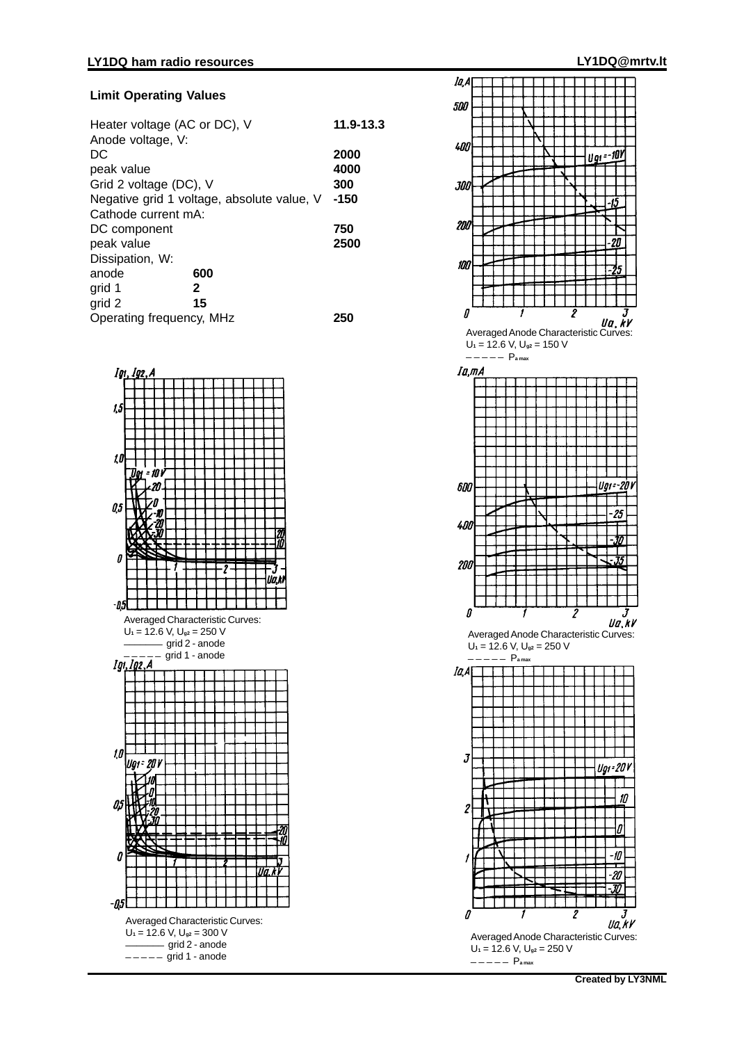#### **Limit Operating Values**

| Heater voltage (AC or DC), V<br>Anode voltage, V: |      | 11.9-13.3 |
|---------------------------------------------------|------|-----------|
| DC                                                |      | 2000      |
| peak value                                        |      | 4000      |
| Grid 2 voltage (DC), V                            |      | 300       |
| Negative grid 1 voltage, absolute value, V        | -150 |           |
| Cathode current mA:                               |      |           |
| DC component                                      |      | 750       |
| peak value                                        |      | 2500      |
| Dissipation, W:                                   |      |           |
| anode                                             | 600  |           |
| grid 1                                            | 2    |           |
| grid 2                                            | 15   |           |
| Operating frequency, MHz                          | 25   |           |





 $U_1 = 12.6$  V,  $U_{g2} = 250$  V<br>-----  $P_{a max}$